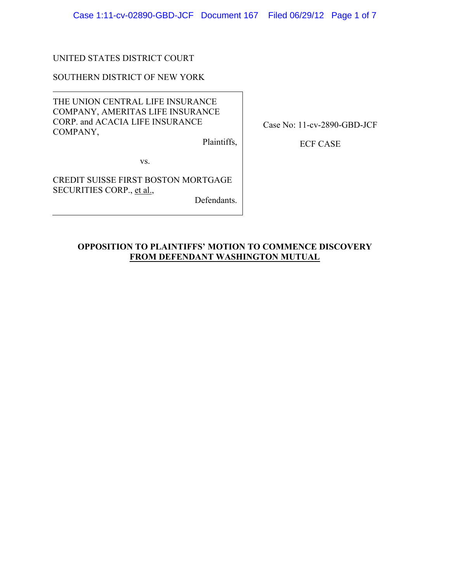Case 1:11-cv-02890-GBD-JCF Document 167 Filed 06/29/12 Page 1 of 7

# UNITED STATES DISTRICT COURT

### SOUTHERN DISTRICT OF NEW YORK

THE UNION CENTRAL LIFE INSURANCE COMPANY, AMERITAS LIFE INSURANCE CORP. and ACACIA LIFE INSURANCE COMPANY,

Plaintiffs,

Case No: 11-cv-2890-GBD-JCF

ECF CASE

vs.

CREDIT SUISSE FIRST BOSTON MORTGAGE SECURITIES CORP., et al.,

Defendants.

## **OPPOSITION TO PLAINTIFFS' MOTION TO COMMENCE DISCOVERY FROM DEFENDANT WASHINGTON MUTUAL**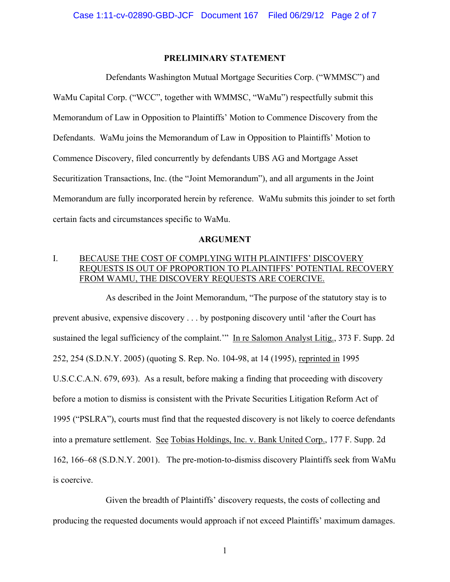### **PRELIMINARY STATEMENT**

Defendants Washington Mutual Mortgage Securities Corp. ("WMMSC") and WaMu Capital Corp. ("WCC", together with WMMSC, "WaMu") respectfully submit this Memorandum of Law in Opposition to Plaintiffs' Motion to Commence Discovery from the Defendants. WaMu joins the Memorandum of Law in Opposition to Plaintiffs' Motion to Commence Discovery, filed concurrently by defendants UBS AG and Mortgage Asset Securitization Transactions, Inc. (the "Joint Memorandum"), and all arguments in the Joint Memorandum are fully incorporated herein by reference. WaMu submits this joinder to set forth certain facts and circumstances specific to WaMu.

## **ARGUMENT**

# I. BECAUSE THE COST OF COMPLYING WITH PLAINTIFFS' DISCOVERY REQUESTS IS OUT OF PROPORTION TO PLAINTIFFS' POTENTIAL RECOVERY FROM WAMU, THE DISCOVERY REQUESTS ARE COERCIVE.

As described in the Joint Memorandum, "The purpose of the statutory stay is to prevent abusive, expensive discovery . . . by postponing discovery until 'after the Court has sustained the legal sufficiency of the complaint." In re Salomon Analyst Litig., 373 F. Supp. 2d 252, 254 (S.D.N.Y. 2005) (quoting S. Rep. No. 104-98, at 14 (1995), reprinted in 1995 U.S.C.C.A.N. 679, 693). As a result, before making a finding that proceeding with discovery before a motion to dismiss is consistent with the Private Securities Litigation Reform Act of 1995 ("PSLRA"), courts must find that the requested discovery is not likely to coerce defendants into a premature settlement. See Tobias Holdings, Inc. v. Bank United Corp., 177 F. Supp. 2d 162, 166–68 (S.D.N.Y. 2001). The pre-motion-to-dismiss discovery Plaintiffs seek from WaMu is coercive.

Given the breadth of Plaintiffs' discovery requests, the costs of collecting and producing the requested documents would approach if not exceed Plaintiffs' maximum damages.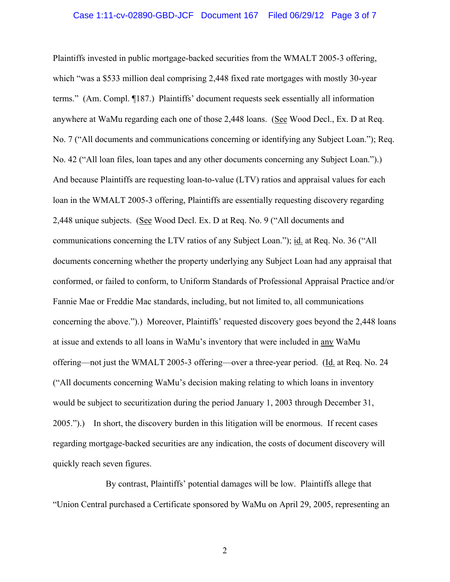#### Case 1:11-cv-02890-GBD-JCF Document 167 Filed 06/29/12 Page 3 of 7

Plaintiffs invested in public mortgage-backed securities from the WMALT 2005-3 offering, which "was a \$533 million deal comprising 2,448 fixed rate mortgages with mostly 30-year terms." (Am. Compl. ¶187.) Plaintiffs' document requests seek essentially all information anywhere at WaMu regarding each one of those 2,448 loans. (See Wood Decl., Ex. D at Req. No. 7 ("All documents and communications concerning or identifying any Subject Loan."); Req. No. 42 ("All loan files, loan tapes and any other documents concerning any Subject Loan.").) And because Plaintiffs are requesting loan-to-value (LTV) ratios and appraisal values for each loan in the WMALT 2005-3 offering, Plaintiffs are essentially requesting discovery regarding 2,448 unique subjects. (See Wood Decl. Ex. D at Req. No. 9 ("All documents and communications concerning the LTV ratios of any Subject Loan."); id. at Req. No. 36 ("All documents concerning whether the property underlying any Subject Loan had any appraisal that conformed, or failed to conform, to Uniform Standards of Professional Appraisal Practice and/or Fannie Mae or Freddie Mac standards, including, but not limited to, all communications concerning the above.").) Moreover, Plaintiffs' requested discovery goes beyond the 2,448 loans at issue and extends to all loans in WaMu's inventory that were included in any WaMu offering—not just the WMALT 2005-3 offering—over a three-year period. (Id. at Req. No. 24 ("All documents concerning WaMu's decision making relating to which loans in inventory would be subject to securitization during the period January 1, 2003 through December 31, 2005.").) In short, the discovery burden in this litigation will be enormous. If recent cases regarding mortgage-backed securities are any indication, the costs of document discovery will quickly reach seven figures.

By contrast, Plaintiffs' potential damages will be low. Plaintiffs allege that "Union Central purchased a Certificate sponsored by WaMu on April 29, 2005, representing an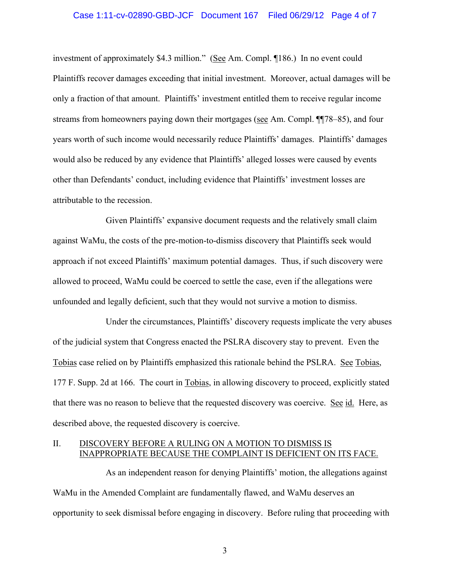#### Case 1:11-cv-02890-GBD-JCF Document 167 Filed 06/29/12 Page 4 of 7

investment of approximately \$4.3 million." (See Am. Compl. ¶186.) In no event could Plaintiffs recover damages exceeding that initial investment. Moreover, actual damages will be only a fraction of that amount. Plaintiffs' investment entitled them to receive regular income streams from homeowners paying down their mortgages (see Am. Compl. ¶¶78–85), and four years worth of such income would necessarily reduce Plaintiffs' damages. Plaintiffs' damages would also be reduced by any evidence that Plaintiffs' alleged losses were caused by events other than Defendants' conduct, including evidence that Plaintiffs' investment losses are attributable to the recession.

Given Plaintiffs' expansive document requests and the relatively small claim against WaMu, the costs of the pre-motion-to-dismiss discovery that Plaintiffs seek would approach if not exceed Plaintiffs' maximum potential damages. Thus, if such discovery were allowed to proceed, WaMu could be coerced to settle the case, even if the allegations were unfounded and legally deficient, such that they would not survive a motion to dismiss.

Under the circumstances, Plaintiffs' discovery requests implicate the very abuses of the judicial system that Congress enacted the PSLRA discovery stay to prevent. Even the Tobias case relied on by Plaintiffs emphasized this rationale behind the PSLRA. See Tobias, 177 F. Supp. 2d at 166. The court in Tobias, in allowing discovery to proceed, explicitly stated that there was no reason to believe that the requested discovery was coercive. See id. Here, as described above, the requested discovery is coercive.

### II. DISCOVERY BEFORE A RULING ON A MOTION TO DISMISS IS INAPPROPRIATE BECAUSE THE COMPLAINT IS DEFICIENT ON ITS FACE.

As an independent reason for denying Plaintiffs' motion, the allegations against WaMu in the Amended Complaint are fundamentally flawed, and WaMu deserves an opportunity to seek dismissal before engaging in discovery. Before ruling that proceeding with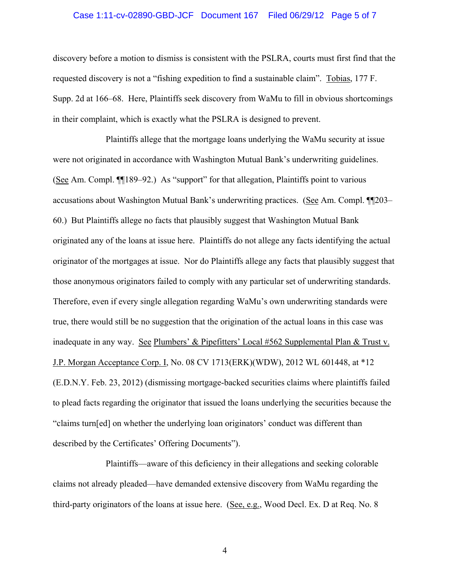#### Case 1:11-cv-02890-GBD-JCF Document 167 Filed 06/29/12 Page 5 of 7

discovery before a motion to dismiss is consistent with the PSLRA, courts must first find that the requested discovery is not a "fishing expedition to find a sustainable claim". Tobias, 177 F. Supp. 2d at 166–68. Here, Plaintiffs seek discovery from WaMu to fill in obvious shortcomings in their complaint, which is exactly what the PSLRA is designed to prevent.

Plaintiffs allege that the mortgage loans underlying the WaMu security at issue were not originated in accordance with Washington Mutual Bank's underwriting guidelines. (See Am. Compl. ¶¶189–92.) As "support" for that allegation, Plaintiffs point to various accusations about Washington Mutual Bank's underwriting practices. (See Am. Compl. ¶¶203– 60.) But Plaintiffs allege no facts that plausibly suggest that Washington Mutual Bank originated any of the loans at issue here. Plaintiffs do not allege any facts identifying the actual originator of the mortgages at issue. Nor do Plaintiffs allege any facts that plausibly suggest that those anonymous originators failed to comply with any particular set of underwriting standards. Therefore, even if every single allegation regarding WaMu's own underwriting standards were true, there would still be no suggestion that the origination of the actual loans in this case was inadequate in any way. See Plumbers' & Pipefitters' Local #562 Supplemental Plan & Trust v. J.P. Morgan Acceptance Corp. I, No. 08 CV 1713(ERK)(WDW), 2012 WL 601448, at \*12 (E.D.N.Y. Feb. 23, 2012) (dismissing mortgage-backed securities claims where plaintiffs failed to plead facts regarding the originator that issued the loans underlying the securities because the "claims turn[ed] on whether the underlying loan originators' conduct was different than described by the Certificates' Offering Documents").

Plaintiffs—aware of this deficiency in their allegations and seeking colorable claims not already pleaded—have demanded extensive discovery from WaMu regarding the third-party originators of the loans at issue here. (See, e.g., Wood Decl. Ex. D at Req. No. 8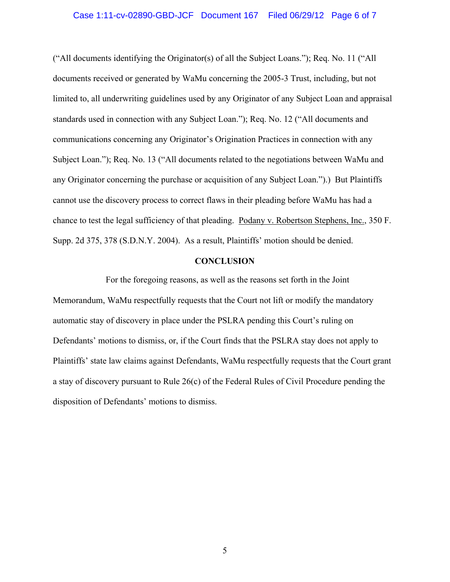#### Case 1:11-cv-02890-GBD-JCF Document 167 Filed 06/29/12 Page 6 of 7

("All documents identifying the Originator(s) of all the Subject Loans."); Req. No. 11 ("All documents received or generated by WaMu concerning the 2005-3 Trust, including, but not limited to, all underwriting guidelines used by any Originator of any Subject Loan and appraisal standards used in connection with any Subject Loan."); Req. No. 12 ("All documents and communications concerning any Originator's Origination Practices in connection with any Subject Loan."); Req. No. 13 ("All documents related to the negotiations between WaMu and any Originator concerning the purchase or acquisition of any Subject Loan.").) But Plaintiffs cannot use the discovery process to correct flaws in their pleading before WaMu has had a chance to test the legal sufficiency of that pleading. Podany v. Robertson Stephens, Inc., 350 F. Supp. 2d 375, 378 (S.D.N.Y. 2004). As a result, Plaintiffs' motion should be denied.

### **CONCLUSION**

For the foregoing reasons, as well as the reasons set forth in the Joint Memorandum, WaMu respectfully requests that the Court not lift or modify the mandatory automatic stay of discovery in place under the PSLRA pending this Court's ruling on Defendants' motions to dismiss, or, if the Court finds that the PSLRA stay does not apply to Plaintiffs' state law claims against Defendants, WaMu respectfully requests that the Court grant a stay of discovery pursuant to Rule 26(c) of the Federal Rules of Civil Procedure pending the disposition of Defendants' motions to dismiss.